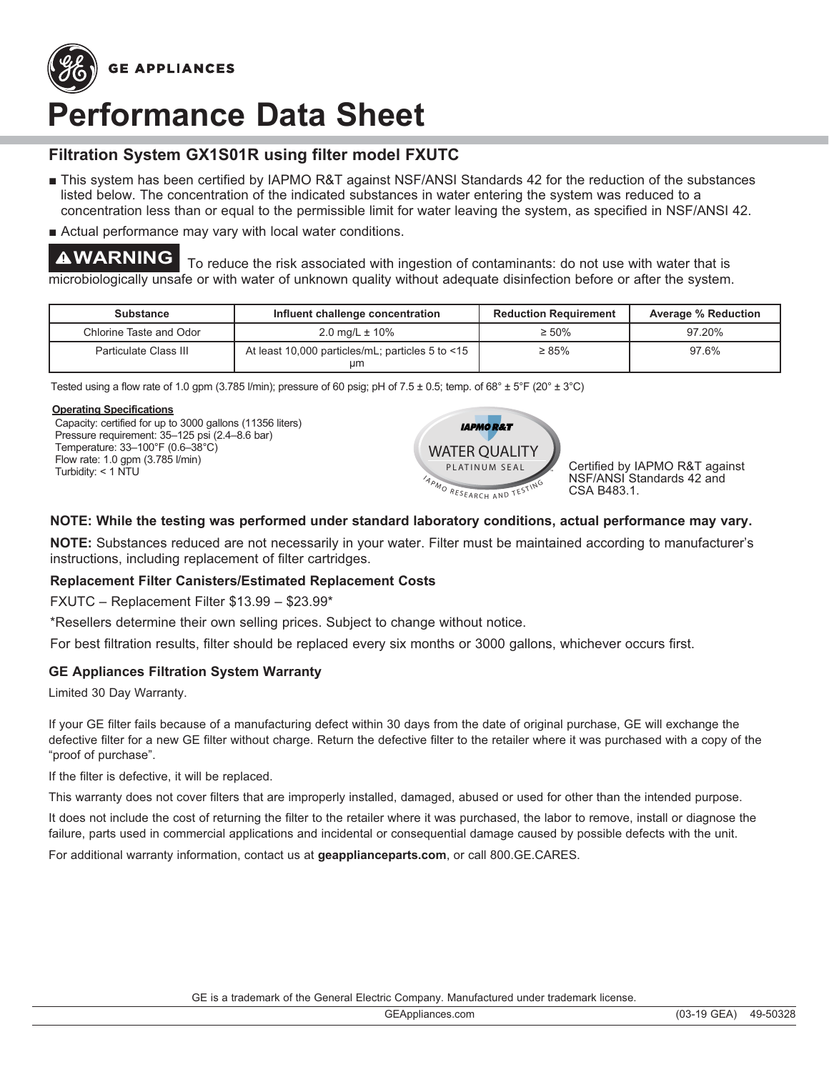

# **Performance Data Sheet**

# **Filtration System GX1S01R using filter model FXUTC**

- This system has been certified by IAPMO R&T against NSF/ANSI Standards 42 for the reduction of the substances listed below. The concentration of the indicated substances in water entering the system was reduced to a concentration less than or equal to the permissible limit for water leaving the system, as specified in NSF/ANSI 42.
- Actual performance may vary with local water conditions.

**AWARNING** To reduce the risk associated with ingestion of contaminants: do not use with water that is microbiologically unsafe or with water of unknown quality without adequate disinfection before or after the system.

| <b>Substance</b>        | Influent challenge concentration                         | <b>Reduction Requirement</b> | <b>Average % Reduction</b> |
|-------------------------|----------------------------------------------------------|------------------------------|----------------------------|
| Chlorine Taste and Odor | 2.0 mg/L $\pm$ 10%                                       | $\geq 50\%$                  | 97.20%                     |
| Particulate Class III   | At least 10,000 particles/mL; particles 5 to $<15$<br>μm | $\geq 85\%$                  | 97.6%                      |

Tested using a flow rate of 1.0 gpm (3.785 l/min); pressure of 60 psig; pH of 7.5 ± 0.5; temp. of 68° ± 5°F (20° ± 3°C)

#### **Operating Specifications**

Capacity: certified for up to 3000 gallons (11356 liters) Pressure requirement: 35-125 psi (2.4-8.6 bar) Temperature:  $33-100^{\circ}$ F (0.6-38 $^{\circ}$ C) Flow rate: 1.0 gpm (3.785 l/min) Turbidity:  $<$  1 NTU



NSF/ANSI Standards 42 and CSA B483.1.

## **NOTE: While the testing was performed under standard laboratory conditions, actual performance may vary.**

**NOTE:** Substances reduced are not necessarily in your water. Filter must be maintained according to manufacturer's instructions, including replacement of filter cartridges.

### **Replacement Filter Canisters/Estimated Replacement Costs**

 $FXUTC - Replacement Filter $13.99 - $23.99*$ 

\*Resellers determine their own selling prices. Subject to change without notice.

For best filtration results, filter should be replaced every six months or 3000 gallons, whichever occurs first.

### **GE Appliances Filtration System Warranty**

Limited 30 Day Warranty.

If your GE filter fails because of a manufacturing defect within 30 days from the date of original purchase, GE will exchange the defective filter for a new GE filter without charge. Return the defective filter to the retailer where it was purchased with a copy of the "proof of purchase".

If the filter is defective, it will be replaced.

This warranty does not cover filters that are improperly installed, damaged, abused or used for other than the intended purpose.

It does not include the cost of returning the filter to the retailer where it was purchased, the labor to remove, install or diagnose the failure, parts used in commercial applications and incidental or consequential damage caused by possible defects with the unit.

For additional warranty information, contact us at geapplianceparts.com, or call 800.GE.CARES.

GE is a trademark of the General Electric Company. Manufactured under trademark license.